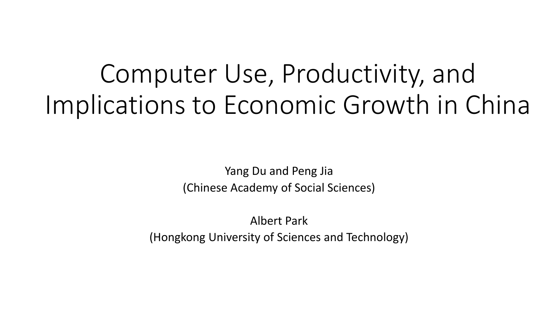# Computer Use, Productivity, and Implications to Economic Growth in China

Yang Du and Peng Jia (Chinese Academy of Social Sciences)

Albert Park (Hongkong University of Sciences and Technology)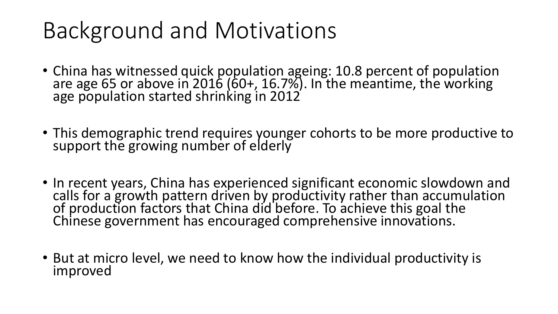## Background and Motivations

- China has witnessed quick population ageing: 10.8 percent of population are age 65 or above in 2016 (60+, 16.7%). In the meantime, the working age population started shrinking in 2012
- This demographic trend requires younger cohorts to be more productive to support the growing number of elderly
- In recent years, China has experienced significant economic slowdown and calls for a growth pattern driven by productivity rather than accumulation of production factors that China did before. To achieve this goal the Chinese government has encouraged comprehensive innovations.
- But at micro level, we need to know how the individual productivity is improved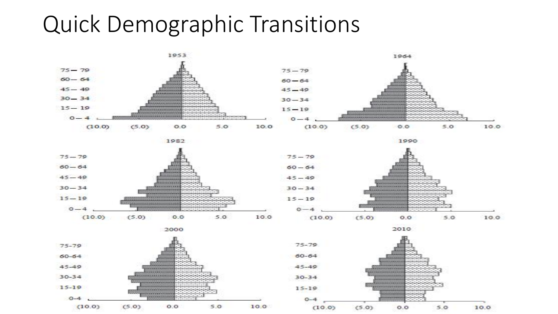### Quick Demographic Transitions

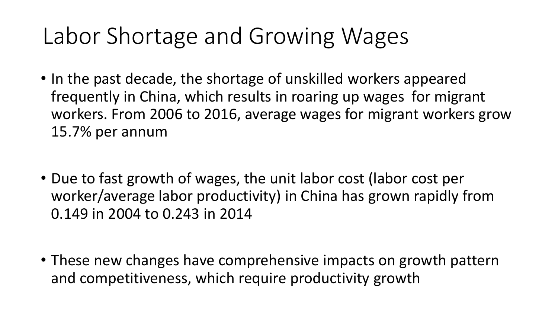## Labor Shortage and Growing Wages

- In the past decade, the shortage of unskilled workers appeared frequently in China, which results in roaring up wages for migrant workers. From 2006 to 2016, average wages for migrant workers grow 15.7% per annum
- Due to fast growth of wages, the unit labor cost (labor cost per worker/average labor productivity) in China has grown rapidly from 0.149 in 2004 to 0.243 in 2014
- These new changes have comprehensive impacts on growth pattern and competitiveness, which require productivity growth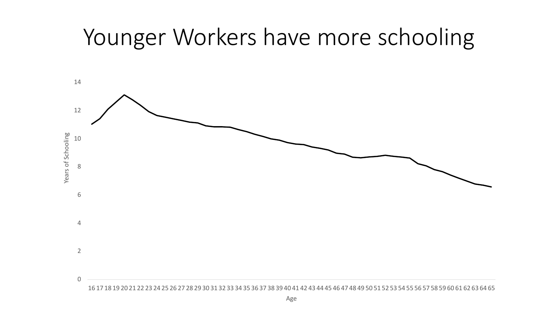### Younger Workers have more schooling

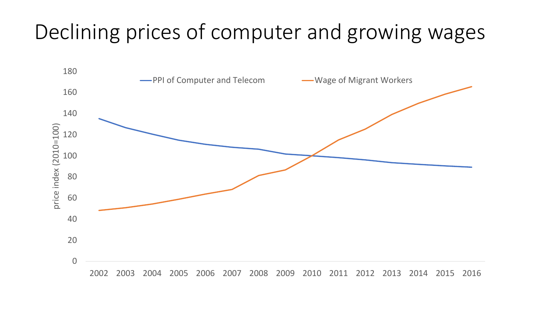#### Declining prices of computer and growing wages

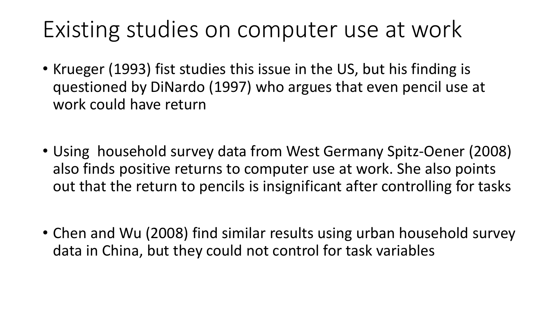### Existing studies on computer use at work

- Krueger (1993) fist studies this issue in the US, but his finding is questioned by DiNardo (1997) who argues that even pencil use at work could have return
- Using household survey data from West Germany Spitz-Oener (2008) also finds positive returns to computer use at work. She also points out that the return to pencils is insignificant after controlling for tasks
- Chen and Wu (2008) find similar results using urban household survey data in China, but they could not control for task variables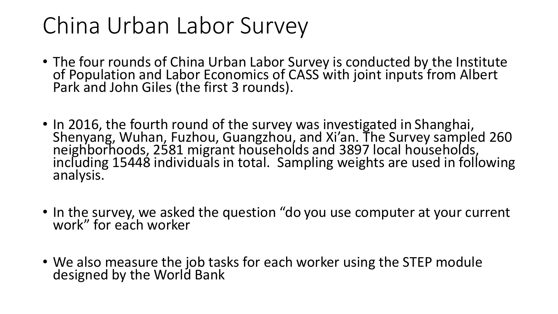### China Urban Labor Survey

- The four rounds of China Urban Labor Survey is conducted by the Institute of Population and Labor Economics of CASS with joint inputs from Albert Park and John Giles (the first 3 rounds).
- In 2016, the fourth round of the survey was investigated in Shanghai, Shenyang, Wuhan, Fuzhou, Guangzhou, and Xi'an. The Survey sampled 260 neighborhoods, 2581 migrant households and 3897 local households, including 15448 individuals in total. Sampling weights are used in following analysis.
- In the survey, we asked the question "do you use computer at your current work" for each worker
- We also measure the job tasks for each worker using the STEP module designed by the World Bank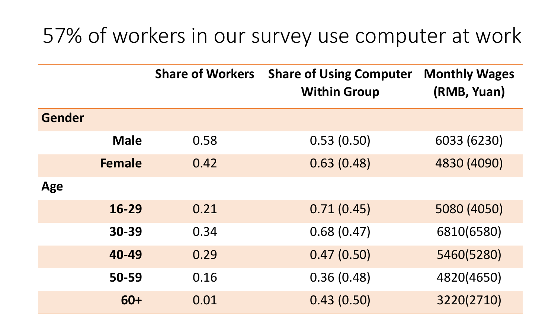#### 57% of workers in our survey use computer at work

|               |               | <b>Share of Workers</b> | <b>Share of Using Computer</b><br><b>Within Group</b> | <b>Monthly Wages</b><br>(RMB, Yuan) |
|---------------|---------------|-------------------------|-------------------------------------------------------|-------------------------------------|
| <b>Gender</b> |               |                         |                                                       |                                     |
|               | <b>Male</b>   | 0.58                    | 0.53(0.50)                                            | 6033 (6230)                         |
|               | <b>Female</b> | 0.42                    | 0.63(0.48)                                            | 4830 (4090)                         |
| Age           |               |                         |                                                       |                                     |
|               | 16-29         | 0.21                    | 0.71(0.45)                                            | 5080 (4050)                         |
|               | 30-39         | 0.34                    | 0.68(0.47)                                            | 6810(6580)                          |
|               | 40-49         | 0.29                    | 0.47(0.50)                                            | 5460(5280)                          |
|               | 50-59         | 0.16                    | 0.36(0.48)                                            | 4820(4650)                          |
|               | 60+           | 0.01                    | 0.43(0.50)                                            | 3220(2710)                          |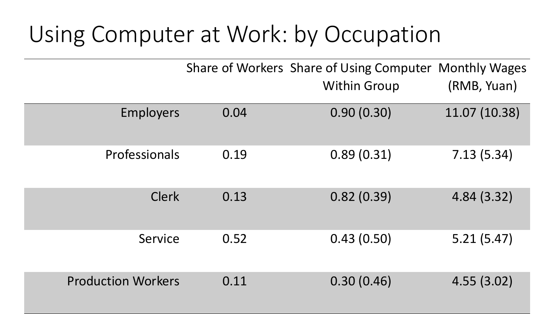## Using Computer at Work: by Occupation

|                           |      | Share of Workers Share of Using Computer Monthly Wages<br><b>Within Group</b> | (RMB, Yuan)   |
|---------------------------|------|-------------------------------------------------------------------------------|---------------|
| <b>Employers</b>          | 0.04 | 0.90(0.30)                                                                    | 11.07 (10.38) |
| Professionals             | 0.19 | 0.89(0.31)                                                                    | 7.13(5.34)    |
| <b>Clerk</b>              | 0.13 | 0.82(0.39)                                                                    | 4.84(3.32)    |
| Service                   | 0.52 | 0.43(0.50)                                                                    | 5.21(5.47)    |
| <b>Production Workers</b> | 0.11 | 0.30(0.46)                                                                    | 4.55(3.02)    |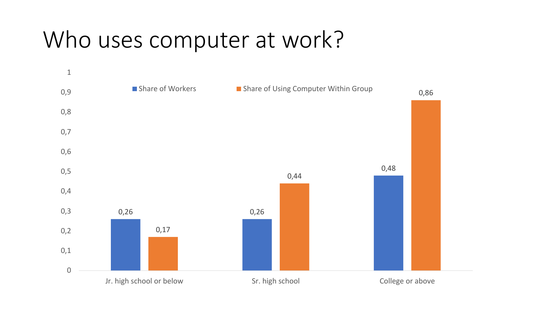## Who uses computer at work?

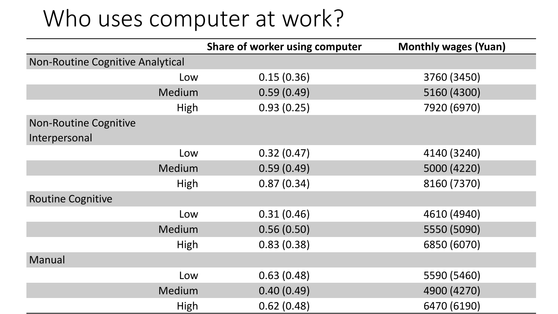### Who uses computer at work?

|                                         | Share of worker using computer | <b>Monthly wages (Yuan)</b> |
|-----------------------------------------|--------------------------------|-----------------------------|
| <b>Non-Routine Cognitive Analytical</b> |                                |                             |
| Low                                     | 0.15(0.36)                     | 3760 (3450)                 |
| Medium                                  | 0.59(0.49)                     | 5160 (4300)                 |
| High                                    | 0.93(0.25)                     | 7920 (6970)                 |
| <b>Non-Routine Cognitive</b>            |                                |                             |
| Interpersonal                           |                                |                             |
| Low                                     | 0.32(0.47)                     | 4140 (3240)                 |
| Medium                                  | 0.59(0.49)                     | 5000 (4220)                 |
| High                                    | 0.87(0.34)                     | 8160 (7370)                 |
| <b>Routine Cognitive</b>                |                                |                             |
| Low                                     | 0.31(0.46)                     | 4610 (4940)                 |
| Medium                                  | 0.56(0.50)                     | 5550 (5090)                 |
| High                                    | 0.83(0.38)                     | 6850 (6070)                 |
| Manual                                  |                                |                             |
| Low                                     | 0.63(0.48)                     | 5590 (5460)                 |
| Medium                                  | 0.40(0.49)                     | 4900 (4270)                 |
| High                                    | 0.62(0.48)                     | 6470 (6190)                 |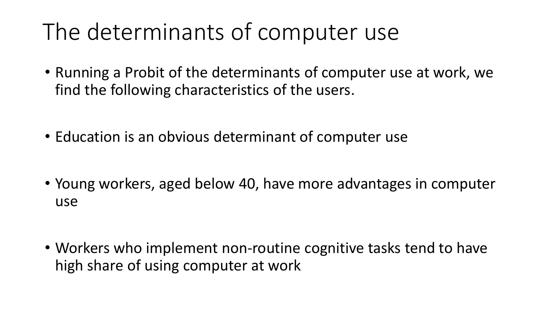## The determinants of computer use

- Running a Probit of the determinants of computer use at work, we find the following characteristics of the users.
- Education is an obvious determinant of computer use
- Young workers, aged below 40, have more advantages in computer use
- Workers who implement non-routine cognitive tasks tend to have high share of using computer at work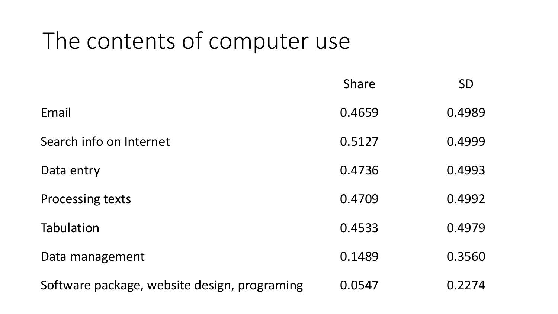## The contents of computer use

|                                              | <b>Share</b> | <b>SD</b> |
|----------------------------------------------|--------------|-----------|
| Email                                        | 0.4659       | 0.4989    |
| Search info on Internet                      | 0.5127       | 0.4999    |
| Data entry                                   | 0.4736       | 0.4993    |
| <b>Processing texts</b>                      | 0.4709       | 0.4992    |
| <b>Tabulation</b>                            | 0.4533       | 0.4979    |
| Data management                              | 0.1489       | 0.3560    |
| Software package, website design, programing | 0.0547       | 0.2274    |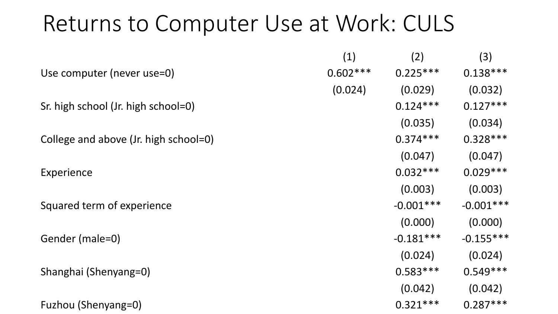### Returns to Computer Use at Work: CULS

|                                       | (1)        | (2)         | (3)         |
|---------------------------------------|------------|-------------|-------------|
| Use computer (never use=0)            | $0.602***$ | $0.225***$  | $0.138***$  |
|                                       | (0.024)    | (0.029)     | (0.032)     |
| Sr. high school (Jr. high school=0)   |            | $0.124***$  | $0.127***$  |
|                                       |            | (0.035)     | (0.034)     |
| College and above (Jr. high school=0) |            | $0.374***$  | $0.328***$  |
|                                       |            | (0.047)     | (0.047)     |
| Experience                            |            | $0.032***$  | $0.029***$  |
|                                       |            | (0.003)     | (0.003)     |
| Squared term of experience            |            | $-0.001***$ | $-0.001***$ |
|                                       |            | (0.000)     | (0.000)     |
| Gender (male=0)                       |            | $-0.181***$ | $-0.155***$ |
|                                       |            | (0.024)     | (0.024)     |
| Shanghai (Shenyang=0)                 |            | $0.583***$  | $0.549***$  |
|                                       |            | (0.042)     | (0.042)     |
| Fuzhou (Shenyang=0)                   |            | $0.321***$  | $0.287***$  |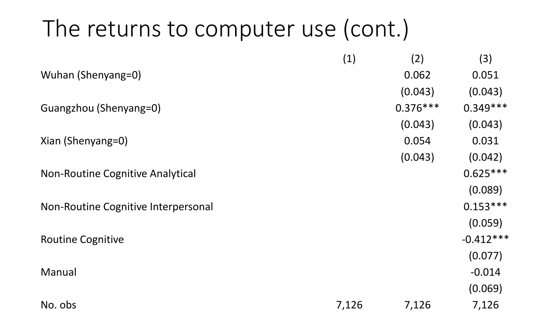### The returns to computer use (cont.)

|                                     | (1)   | (2)        | (3)         |
|-------------------------------------|-------|------------|-------------|
| Wuhan (Shenyang=0)                  |       | 0.062      | 0.051       |
|                                     |       | (0.043)    | (0.043)     |
| Guangzhou (Shenyang=0)              |       | $0.376***$ | $0.349***$  |
|                                     |       | (0.043)    | (0.043)     |
| Xian (Shenyang=0)                   |       | 0.054      | 0.031       |
|                                     |       | (0.043)    | (0.042)     |
| Non-Routine Cognitive Analytical    |       |            | $0.625***$  |
|                                     |       |            | (0.089)     |
| Non-Routine Cognitive Interpersonal |       |            | $0.153***$  |
|                                     |       |            | (0.059)     |
| <b>Routine Cognitive</b>            |       |            | $-0.412***$ |
|                                     |       |            | (0.077)     |
| Manual                              |       |            | $-0.014$    |
|                                     |       |            | (0.069)     |
| No. obs                             | 7,126 | 7,126      | 7,126       |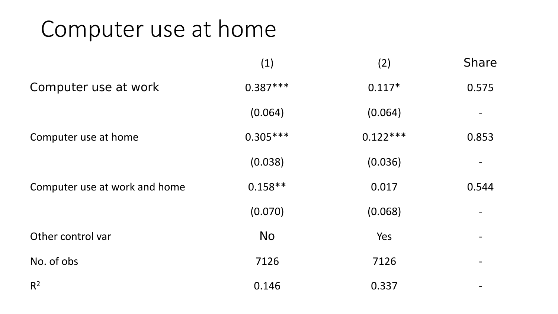### Computer use at home

|                               | (1)        | (2)        | <b>Share</b> |
|-------------------------------|------------|------------|--------------|
| Computer use at work          | $0.387***$ | $0.117*$   | 0.575        |
|                               | (0.064)    | (0.064)    |              |
| Computer use at home          | $0.305***$ | $0.122***$ | 0.853        |
|                               | (0.038)    | (0.036)    |              |
| Computer use at work and home | $0.158**$  | 0.017      | 0.544        |
|                               | (0.070)    | (0.068)    |              |
| Other control var             | <b>No</b>  | Yes        |              |
| No. of obs                    | 7126       | 7126       |              |
| $R^2$                         | 0.146      | 0.337      |              |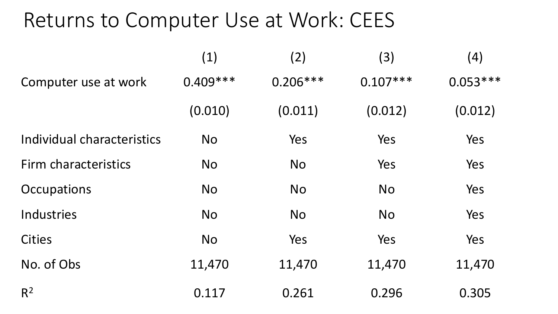#### Returns to Computer Use at Work: CEES

|                            | (1)        | (2)        | (3)        | (4)        |
|----------------------------|------------|------------|------------|------------|
| Computer use at work       | $0.409***$ | $0.206***$ | $0.107***$ | $0.053***$ |
|                            | (0.010)    | (0.011)    | (0.012)    | (0.012)    |
| Individual characteristics | <b>No</b>  | Yes        | Yes        | Yes        |
| Firm characteristics       | <b>No</b>  | <b>No</b>  | Yes        | Yes        |
| Occupations                | <b>No</b>  | <b>No</b>  | <b>No</b>  | Yes        |
| <b>Industries</b>          | <b>No</b>  | <b>No</b>  | <b>No</b>  | Yes        |
| <b>Cities</b>              | <b>No</b>  | Yes        | Yes        | Yes        |
| No. of Obs                 | 11,470     | 11,470     | 11,470     | 11,470     |
| $R^2$                      | 0.117      | 0.261      | 0.296      | 0.305      |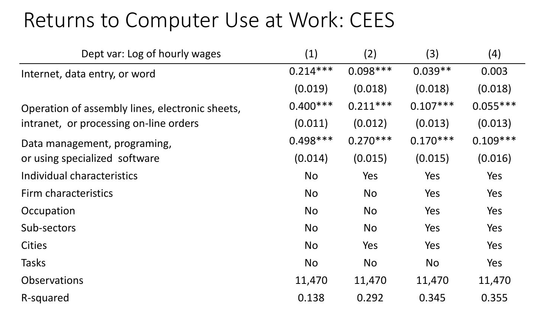#### Returns to Computer Use at Work: CEES

| Dept var: Log of hourly wages                   | (1)        | (2)        | (3)        | (4)        |
|-------------------------------------------------|------------|------------|------------|------------|
| Internet, data entry, or word                   | $0.214***$ | $0.098***$ | $0.039**$  | 0.003      |
|                                                 | (0.019)    | (0.018)    | (0.018)    | (0.018)    |
| Operation of assembly lines, electronic sheets, | $0.400***$ | $0.211***$ | $0.107***$ | $0.055***$ |
| intranet, or processing on-line orders          | (0.011)    | (0.012)    | (0.013)    | (0.013)    |
| Data management, programing,                    | $0.498***$ | $0.270***$ | $0.170***$ | $0.109***$ |
| or using specialized software                   | (0.014)    | (0.015)    | (0.015)    | (0.016)    |
| Individual characteristics                      | <b>No</b>  | Yes        | Yes        | Yes        |
| Firm characteristics                            | <b>No</b>  | <b>No</b>  | Yes        | Yes        |
| Occupation                                      | <b>No</b>  | <b>No</b>  | Yes        | Yes        |
| Sub-sectors                                     | <b>No</b>  | <b>No</b>  | Yes        | Yes        |
| <b>Cities</b>                                   | <b>No</b>  | Yes        | Yes        | Yes        |
| <b>Tasks</b>                                    | <b>No</b>  | <b>No</b>  | <b>No</b>  | Yes        |
| <b>Observations</b>                             | 11,470     | 11,470     | 11,470     | 11,470     |
| R-squared                                       | 0.138      | 0.292      | 0.345      | 0.355      |